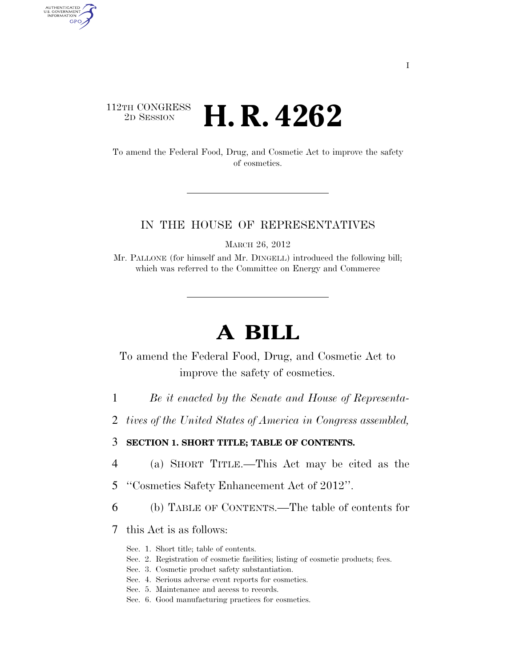### $\begin{array}{c} \textbf{112TH CONGRESS} \\ \textbf{2D} \textbf{Session} \end{array}$ 2D SESSION **H. R. 4262**

AUTHENTICATED<br>U.S. GOVERNMENT<br>INFORMATION GPO

> To amend the Federal Food, Drug, and Cosmetic Act to improve the safety of cosmetics.

#### IN THE HOUSE OF REPRESENTATIVES

MARCH 26, 2012

Mr. PALLONE (for himself and Mr. DINGELL) introduced the following bill; which was referred to the Committee on Energy and Commerce

# **A BILL**

To amend the Federal Food, Drug, and Cosmetic Act to improve the safety of cosmetics.

- 1 *Be it enacted by the Senate and House of Representa-*
- 2 *tives of the United States of America in Congress assembled,*

#### 3 **SECTION 1. SHORT TITLE; TABLE OF CONTENTS.**

- 4 (a) SHORT TITLE.—This Act may be cited as the
- 5 ''Cosmetics Safety Enhancement Act of 2012''.
- 6 (b) TABLE OF CONTENTS.—The table of contents for
- 7 this Act is as follows:
	- Sec. 1. Short title; table of contents.
	- Sec. 2. Registration of cosmetic facilities; listing of cosmetic products; fees.
	- Sec. 3. Cosmetic product safety substantiation.
	- Sec. 4. Serious adverse event reports for cosmetics.
	- Sec. 5. Maintenance and access to records.
	- Sec. 6. Good manufacturing practices for cosmetics.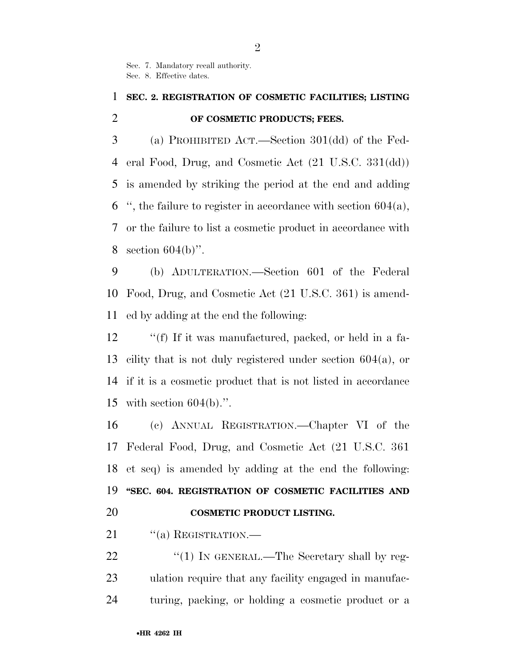Sec. 7. Mandatory recall authority. Sec. 8. Effective dates.

## **SEC. 2. REGISTRATION OF COSMETIC FACILITIES; LISTING OF COSMETIC PRODUCTS; FEES.**

 (a) PROHIBITED ACT.—Section 301(dd) of the Fed- eral Food, Drug, and Cosmetic Act (21 U.S.C. 331(dd)) is amended by striking the period at the end and adding ", the failure to register in accordance with section  $604(a)$ , or the failure to list a cosmetic product in accordance with section 604(b)''.

 (b) ADULTERATION.—Section 601 of the Federal Food, Drug, and Cosmetic Act (21 U.S.C. 361) is amend-ed by adding at the end the following:

12 ""(f) If it was manufactured, packed, or held in a fa- cility that is not duly registered under section 604(a), or if it is a cosmetic product that is not listed in accordance with section 604(b).''.

 (c) ANNUAL REGISTRATION.—Chapter VI of the Federal Food, Drug, and Cosmetic Act (21 U.S.C. 361 et seq) is amended by adding at the end the following: **''SEC. 604. REGISTRATION OF COSMETIC FACILITIES AND COSMETIC PRODUCT LISTING.** 

21 "(a) REGISTRATION.

22 "(1) IN GENERAL.—The Secretary shall by reg- ulation require that any facility engaged in manufac-turing, packing, or holding a cosmetic product or a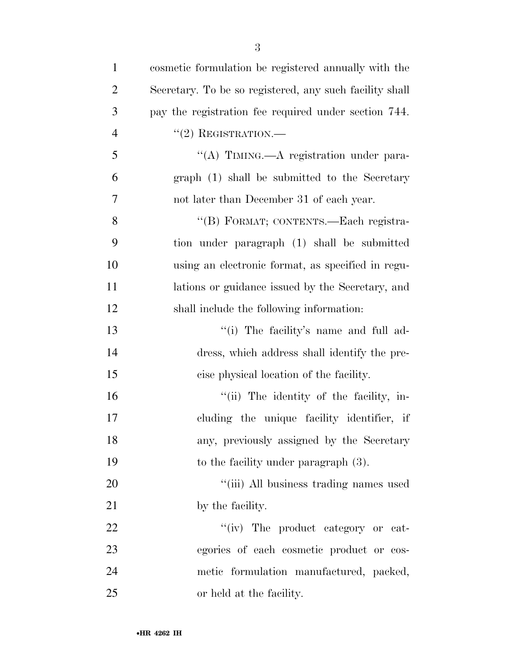| 1              | cosmetic formulation be registered annually with the    |
|----------------|---------------------------------------------------------|
| $\overline{2}$ | Secretary. To be so registered, any such facility shall |
| 3              | pay the registration fee required under section 744.    |
| $\overline{4}$ | $``(2)$ REGISTRATION.—                                  |
| 5              | "(A) TIMING.—A registration under para-                 |
| 6              | graph (1) shall be submitted to the Secretary           |
| $\tau$         | not later than December 31 of each year.                |
| 8              | "(B) FORMAT; CONTENTS.-Each registra-                   |
| 9              | tion under paragraph (1) shall be submitted             |
| 10             | using an electronic format, as specified in regu-       |
| 11             | lations or guidance issued by the Secretary, and        |
| 12             | shall include the following information:                |
| 13             | "(i) The facility's name and full ad-                   |
| 14             | dress, which address shall identify the pre-            |
| 15             | cise physical location of the facility.                 |
| 16             | "(ii) The identity of the facility, in-                 |
| 17             | cluding the unique facility identifier, if              |
| 18             | any, previously assigned by the Secretary               |
| 19             | to the facility under paragraph $(3)$ .                 |
| 20             | "(iii) All business trading names used                  |
| 21             | by the facility.                                        |
| 22             | "(iv) The product category or cat-                      |
| 23             | egories of each cosmetic product or cos-                |
| 24             | metic formulation manufactured, packed,                 |
| 25             | or held at the facility.                                |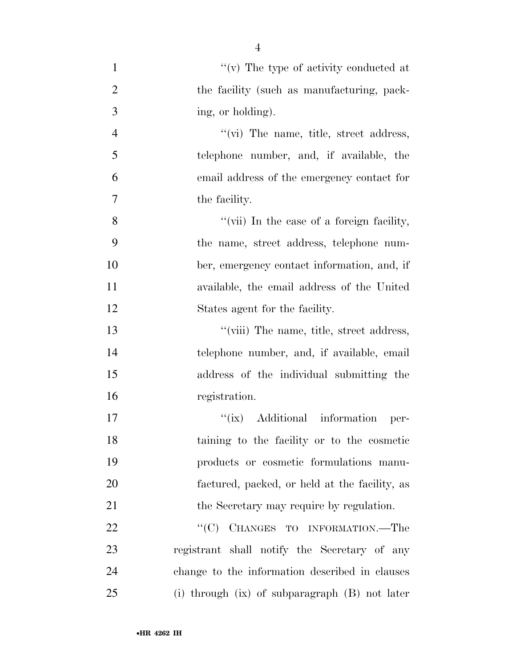| $\mathbf{1}$   | $\lq\lq(\mathbf{v})$ The type of activity conducted at |
|----------------|--------------------------------------------------------|
| $\overline{2}$ | the facility (such as manufacturing, pack-             |
| 3              | ing, or holding).                                      |
| $\overline{4}$ | $\lq\lq$ (vi) The name, title, street address,         |
| 5              | telephone number, and, if available, the               |
| 6              | email address of the emergency contact for             |
| 7              | the facility.                                          |
| 8              | "(vii) In the case of a foreign facility,              |
| 9              | the name, street address, telephone num-               |
| 10             | ber, emergency contact information, and, if            |
| 11             | available, the email address of the United             |
| 12             | States agent for the facility.                         |
| 13             | "(viii) The name, title, street address,               |
| 14             | telephone number, and, if available, email             |
| 15             | address of the individual submitting the               |
| 16             | registration.                                          |
| 17             | "(ix) Additional information<br>per-                   |
| 18             | taining to the facility or to the cosmetic             |
| 19             | products or cosmetic formulations manu-                |
| 20             | factured, packed, or held at the facility, as          |
| 21             | the Secretary may require by regulation.               |
| 22             | ``(C)<br>CHANGES TO INFORMATION.-The                   |
| 23             | registrant shall notify the Secretary of any           |
| 24             | change to the information described in clauses         |
| 25             | (i) through $(ix)$ of subparagraph $(B)$ not later     |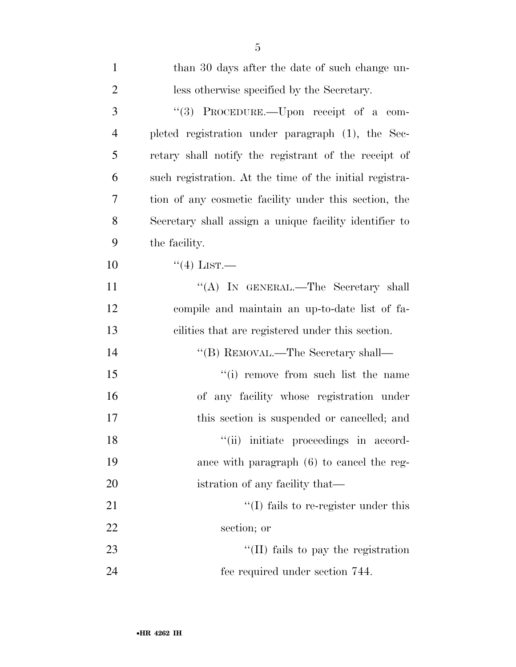| $\mathbf{1}$   | than 30 days after the date of such change un-          |
|----------------|---------------------------------------------------------|
| $\overline{2}$ | less otherwise specified by the Secretary.              |
| 3              | "(3) PROCEDURE.—Upon receipt of a com-                  |
| $\overline{4}$ | pleted registration under paragraph (1), the Sec-       |
| 5              | retary shall notify the registrant of the receipt of    |
| 6              | such registration. At the time of the initial registra- |
| 7              | tion of any cosmetic facility under this section, the   |
| 8              | Secretary shall assign a unique facility identifier to  |
| 9              | the facility.                                           |
| 10             | $\lq(4)$ LIST.—                                         |
| 11             | "(A) IN GENERAL.—The Secretary shall                    |
| 12             | compile and maintain an up-to-date list of fa-          |
| 13             | cilities that are registered under this section.        |
| 14             | "(B) REMOVAL.—The Secretary shall—                      |
| 15             | "(i) remove from such list the name"                    |
| 16             | of any facility whose registration under                |
| 17             | this section is suspended or cancelled; and             |
| 18             | "(ii) initiate proceedings in accord-                   |
| 19             | ance with paragraph (6) to cancel the reg-              |
| <b>20</b>      | istration of any facility that—                         |
| 21             | $\lq\lq$ (I) fails to re-register under this            |
| 22             | section; or                                             |
| 23             | "(II) fails to pay the registration                     |
| 24             | fee required under section 744.                         |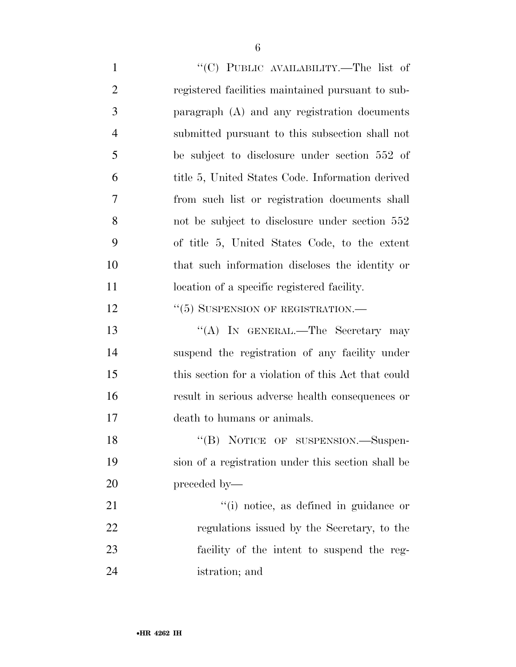$"({\rm C})$  PUBLIC AVAILABILITY.—The list of registered facilities maintained pursuant to sub- paragraph (A) and any registration documents submitted pursuant to this subsection shall not be subject to disclosure under section 552 of title 5, United States Code. Information derived from such list or registration documents shall not be subject to disclosure under section 552 of title 5, United States Code, to the extent that such information discloses the identity or 11 location of a specific registered facility. 12 "(5) SUSPENSION OF REGISTRATION.— 13 "(A) In GENERAL.—The Secretary may suspend the registration of any facility under this section for a violation of this Act that could result in serious adverse health consequences or death to humans or animals.

18 "(B) NOTICE OF SUSPENSION.—Suspen- sion of a registration under this section shall be preceded by—

 $\frac{1}{1}$  notice, as defined in guidance or regulations issued by the Secretary, to the facility of the intent to suspend the reg-istration; and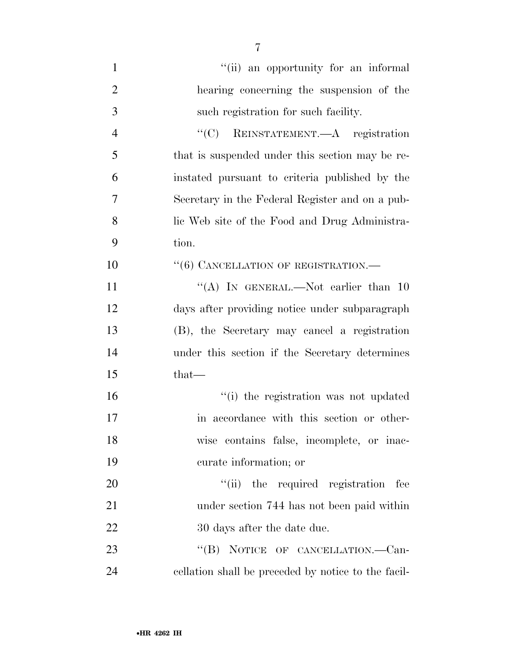| $\mathbf{1}$   | "(ii) an opportunity for an informal                |
|----------------|-----------------------------------------------------|
| $\overline{2}$ | hearing concerning the suspension of the            |
| 3              | such registration for such facility.                |
| $\overline{4}$ | "(C) REINSTATEMENT.—A registration                  |
| 5              | that is suspended under this section may be re-     |
| 6              | instated pursuant to criteria published by the      |
| 7              | Secretary in the Federal Register and on a pub-     |
| 8              | lic Web site of the Food and Drug Administra-       |
| 9              | tion.                                               |
| 10             | "(6) CANCELLATION OF REGISTRATION.-                 |
| 11             | "(A) IN GENERAL.—Not earlier than $10$              |
| 12             | days after providing notice under subparagraph      |
| 13             | (B), the Secretary may cancel a registration        |
| 14             | under this section if the Secretary determines      |
| 15             | $that-$                                             |
| 16             | "(i) the registration was not updated               |
| 17             | in accordance with this section or other-           |
| 18             | wise contains false, incomplete, or inac-           |
| 19             | curate information; or                              |
| 20             | "(ii) the required registration fee                 |
| 21             | under section 744 has not been paid within          |
| 22             | 30 days after the date due.                         |
| 23             | "(B) NOTICE OF CANCELLATION.—Can-                   |
| 24             | cellation shall be preceded by notice to the facil- |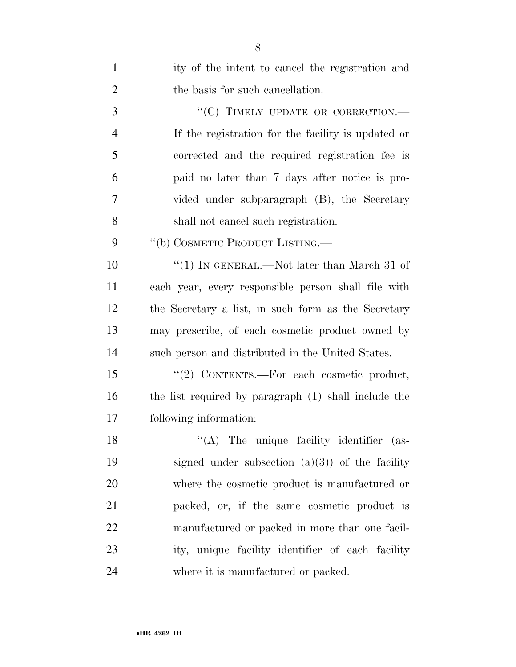| $\mathbf{1}$   | ity of the intent to cancel the registration and     |
|----------------|------------------------------------------------------|
| $\overline{2}$ | the basis for such cancellation.                     |
| 3              | "(C) TIMELY UPDATE OR CORRECTION.-                   |
| $\overline{4}$ | If the registration for the facility is updated or   |
| 5              | corrected and the required registration fee is       |
| 6              | paid no later than 7 days after notice is pro-       |
| $\overline{7}$ | vided under subparagraph (B), the Secretary          |
| 8              | shall not cancel such registration.                  |
| 9              | "(b) COSMETIC PRODUCT LISTING.—                      |
| 10             | "(1) IN GENERAL.—Not later than March 31 of          |
| 11             | each year, every responsible person shall file with  |
| 12             | the Secretary a list, in such form as the Secretary  |
| 13             | may prescribe, of each cosmetic product owned by     |
| 14             | such person and distributed in the United States.    |
| 15             | "(2) CONTENTS.-For each cosmetic product,            |
| 16             | the list required by paragraph (1) shall include the |
| 17             | following information:                               |
| 18             | "(A) The unique facility identifier (as-             |
| 19             | signed under subsection $(a)(3)$ of the facility     |
| 20             | where the cosmetic product is manufactured or        |
| 21             | packed, or, if the same cosmetic product is          |
| 22             | manufactured or packed in more than one facil-       |
| 23             | ity, unique facility identifier of each facility     |
| 24             | where it is manufactured or packed.                  |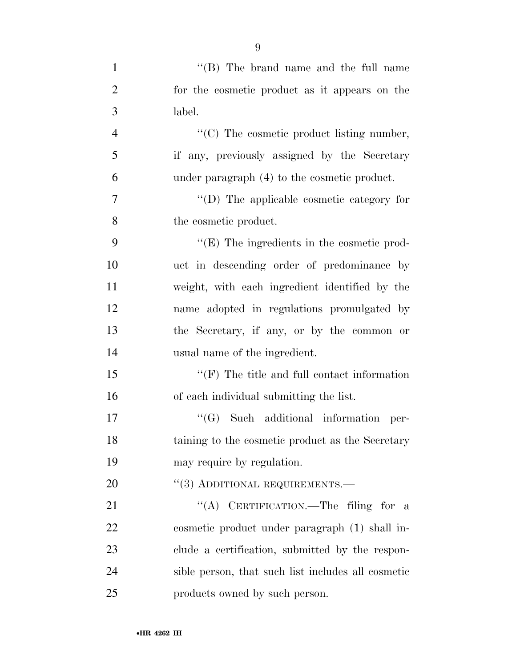| $\mathbf{1}$   | "(B) The brand name and the full name              |
|----------------|----------------------------------------------------|
| $\overline{2}$ | for the cosmetic product as it appears on the      |
| 3              | label.                                             |
| $\overline{4}$ | "(C) The cosmetic product listing number,          |
| 5              | if any, previously assigned by the Secretary       |
| 6              | under paragraph $(4)$ to the cosmetic product.     |
| 7              | "(D) The applicable cosmetic category for          |
| 8              | the cosmetic product.                              |
| 9              | $\lq\lq(E)$ The ingredients in the cosmetic prod-  |
| 10             | uct in descending order of predominance by         |
| 11             | weight, with each ingredient identified by the     |
| 12             | name adopted in regulations promulgated by         |
| 13             | the Secretary, if any, or by the common or         |
| 14             | usual name of the ingredient.                      |
| 15             | $\lq\lq(F)$ The title and full contact information |
| 16             | of each individual submitting the list.            |
| 17             | $\lq\lq(G)$ Such additional information<br>per-    |
| 18             | taining to the cosmetic product as the Secretary   |
| 19             | may require by regulation.                         |
| 20             | "(3) ADDITIONAL REQUIREMENTS.—                     |
| 21             | "(A) CERTIFICATION.—The filing for a               |
| 22             | cosmetic product under paragraph (1) shall in-     |
| 23             | clude a certification, submitted by the respon-    |
| 24             | sible person, that such list includes all cosmetic |
| 25             | products owned by such person.                     |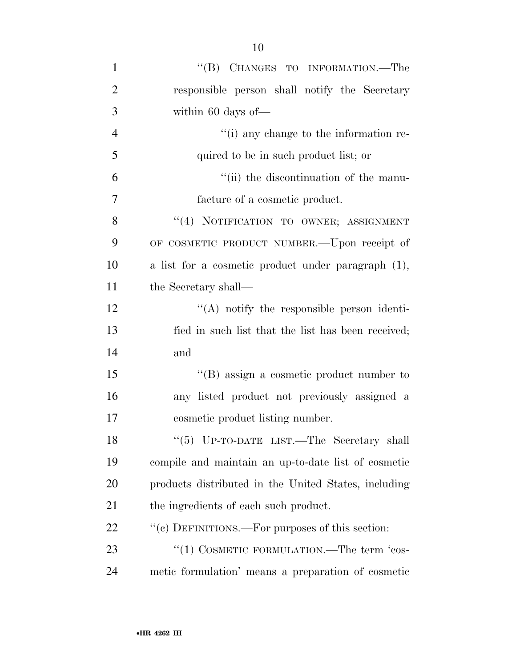| $\mathbf{1}$   | "(B) CHANGES TO INFORMATION.—The                     |
|----------------|------------------------------------------------------|
| $\overline{2}$ | responsible person shall notify the Secretary        |
| 3              | within 60 days of-                                   |
| $\overline{4}$ | "(i) any change to the information re-               |
| 5              | quired to be in such product list; or                |
| 6              | "(ii) the discontinuation of the manu-               |
| 7              | facture of a cosmetic product.                       |
| 8              | "(4) NOTIFICATION TO OWNER; ASSIGNMENT               |
| 9              | OF COSMETIC PRODUCT NUMBER. - Upon receipt of        |
| 10             | a list for a cosmetic product under paragraph (1),   |
| 11             | the Secretary shall—                                 |
| 12             | "(A) notify the responsible person identi-           |
| 13             | fied in such list that the list has been received;   |
| 14             | and                                                  |
| 15             | $\lq\lq$ assign a cosmetic product number to         |
| 16             | any listed product not previously assigned a         |
| 17             | cosmetic product listing number.                     |
| 18             | "(5) UP-TO-DATE LIST.—The Secretary shall            |
| 19             | compile and maintain an up-to-date list of cosmetic  |
| 20             | products distributed in the United States, including |
| 21             | the ingredients of each such product.                |
| 22             | "(c) DEFINITIONS.—For purposes of this section:      |
| 23             | "(1) COSMETIC FORMULATION.—The term 'cos-            |
| 24             | metic formulation' means a preparation of cosmetic   |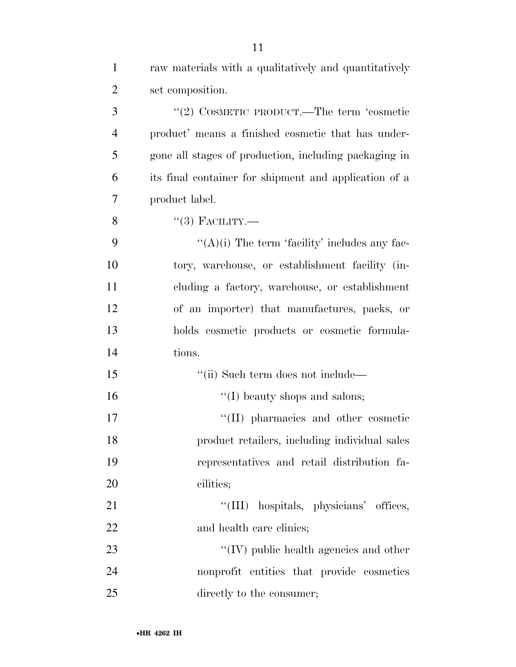| $\mathbf{1}$   | raw materials with a qualitatively and quantitatively |
|----------------|-------------------------------------------------------|
| $\overline{2}$ | set composition.                                      |
| 3              | "(2) COSMETIC PRODUCT.—The term 'cosmetic             |
| $\overline{4}$ | product' means a finished cosmetic that has under-    |
| 5              | gone all stages of production, including packaging in |
| 6              | its final container for shipment and application of a |
| 7              | product label.                                        |
| 8              | $``(3)$ FACILITY.—                                    |
| 9              | " $(A)(i)$ The term 'facility' includes any fac-      |
| 10             | tory, warehouse, or establishment facility (in-       |
| 11             | cluding a factory, warehouse, or establishment        |
| 12             | of an importer) that manufactures, packs, or          |
| 13             | holds cosmetic products or cosmetic formula-          |
| 14             | tions.                                                |
| 15             | "(ii) Such term does not include—                     |
| 16             | $\lq\lq$ (I) beauty shops and salons;                 |
| 17             | "(II) pharmacies and other cosmetic                   |
| 18             | product retailers, including individual sales         |
| 19             | representatives and retail distribution fa-           |
| 20             | cilities;                                             |
| 21             | "(III) hospitals, physicians' offices,                |
| 22             | and health care clinics;                              |
| 23             | $\lq\lq$ (IV) public health agencies and other        |
| 24             | nonprofit entities that provide cosmetics             |
| 25             | directly to the consumer;                             |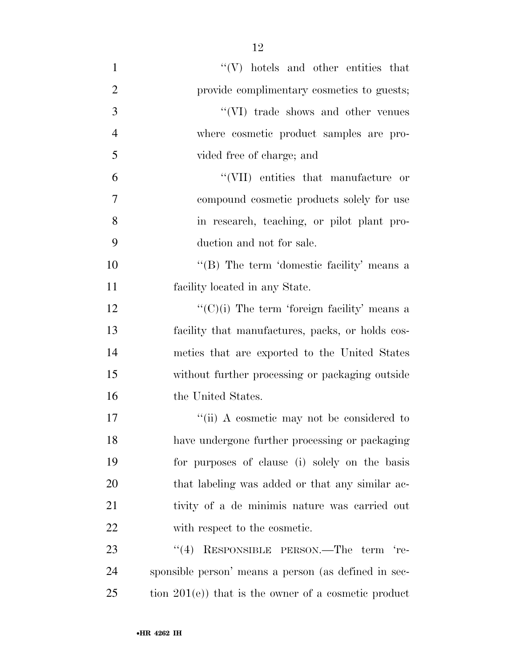| $\mathbf{1}$   | $\lq\lq(V)$ hotels and other entities that            |
|----------------|-------------------------------------------------------|
| $\overline{2}$ | provide complimentary cosmetics to guests;            |
| 3              | $``(VI)$ trade shows and other venues                 |
| $\overline{4}$ | where cosmetic product samples are pro-               |
| 5              | vided free of charge; and                             |
| 6              | "(VII) entities that manufacture or                   |
| 7              | compound cosmetic products solely for use             |
| 8              | in research, teaching, or pilot plant pro-            |
| 9              | duction and not for sale.                             |
| 10             | "(B) The term 'domestic facility' means a             |
| 11             | facility located in any State.                        |
| 12             | "(C)(i) The term 'foreign facility' means a           |
| 13             | facility that manufactures, packs, or holds cos-      |
| 14             | metics that are exported to the United States         |
| 15             | without further processing or packaging outside       |
| 16             | the United States.                                    |
| 17             | "(ii) A cosmetic may not be considered to             |
| 18             | have undergone further processing or packaging        |
| 19             | for purposes of clause (i) solely on the basis        |
| 20             | that labeling was added or that any similar ac-       |
| 21             | tivity of a de minimis nature was carried out         |
| 22             | with respect to the cosmetic.                         |
| 23             | "(4) RESPONSIBLE PERSON.—The term 're-                |
| 24             | sponsible person' means a person (as defined in sec-  |
| 25             | tion $201(e)$ that is the owner of a cosmetic product |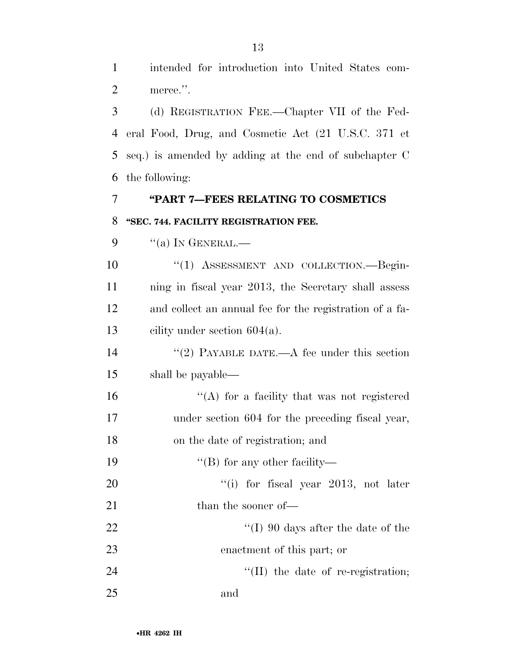intended for introduction into United States com-2 merce.".

 (d) REGISTRATION FEE.—Chapter VII of the Fed- eral Food, Drug, and Cosmetic Act (21 U.S.C. 371 et seq.) is amended by adding at the end of subchapter C the following:

### **''PART 7—FEES RELATING TO COSMETICS ''SEC. 744. FACILITY REGISTRATION FEE.**

9  $"$ (a) In GENERAL.—

 $(1)$  ASSESSMENT AND COLLECTION. Begin- ning in fiscal year 2013, the Secretary shall assess and collect an annual fee for the registration of a fa-cility under section 604(a).

14 ''(2) PAYABLE DATE.—A fee under this section shall be payable—

 ''(A) for a facility that was not registered under section 604 for the preceding fiscal year, on the date of registration; and

19 ''(B) for any other facility—

20  $\frac{1}{20}$  for fiscal year 2013, not later 21 than the sooner of—

22 ''(I) 90 days after the date of the enactment of this part; or

24 ''(II) the date of re-registration; and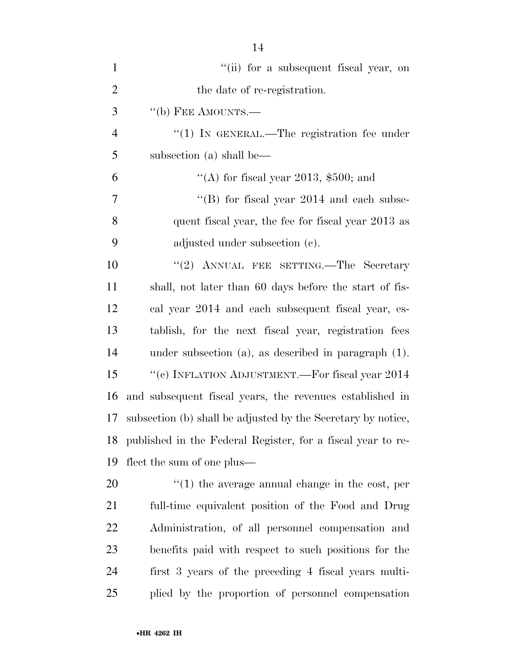| $\mathbf{1}$   | "(ii) for a subsequent fiscal year, on                       |
|----------------|--------------------------------------------------------------|
| $\overline{2}$ | the date of re-registration.                                 |
| 3              | $\lq\lq(b)$ FEE AMOUNTS.—                                    |
| $\overline{4}$ | $\lq(1)$ In GENERAL.—The registration fee under              |
| 5              | subsection (a) shall be—                                     |
| 6              | "(A) for fiscal year 2013, $$500$ ; and                      |
| 7              | "(B) for fiscal year $2014$ and each subse-                  |
| 8              | quent fiscal year, the fee for fiscal year 2013 as           |
| 9              | adjusted under subsection (c).                               |
| 10             | "(2) ANNUAL FEE SETTING.—The Secretary                       |
| 11             | shall, not later than 60 days before the start of fis-       |
| 12             | cal year 2014 and each subsequent fiscal year, es-           |
| 13             | tablish, for the next fiscal year, registration fees         |
| 14             | under subsection $(a)$ , as described in paragraph $(1)$ .   |
| 15             | "(c) INFLATION ADJUSTMENT.—For fiscal year 2014              |
| 16             | and subsequent fiscal years, the revenues established in     |
| 17             | subsection (b) shall be adjusted by the Secretary by notice, |
| 18             | published in the Federal Register, for a fiscal year to re-  |
| 19             | flect the sum of one plus—                                   |
| 20             | $f(1)$ the average annual change in the cost, per            |
| 21             | full-time equivalent position of the Food and Drug           |
| 22             | Administration, of all personnel compensation and            |
| 23             | benefits paid with respect to such positions for the         |
| 24             | first 3 years of the preceding 4 fiscal years multi-         |
| 25             | plied by the proportion of personnel compensation            |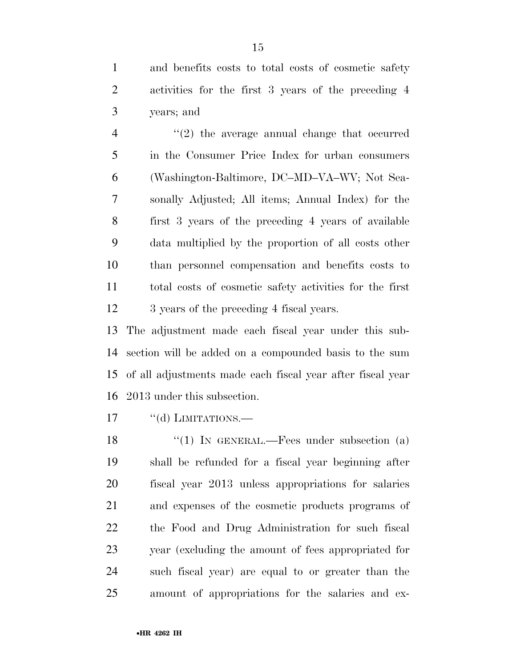and benefits costs to total costs of cosmetic safety activities for the first 3 years of the preceding 4 years; and

 $\frac{4}{2}$  ''(2) the average annual change that occurred in the Consumer Price Index for urban consumers (Washington-Baltimore, DC–MD–VA–WV; Not Sea- sonally Adjusted; All items; Annual Index) for the first 3 years of the preceding 4 years of available data multiplied by the proportion of all costs other than personnel compensation and benefits costs to total costs of cosmetic safety activities for the first 12 3 years of the preceding 4 fiscal years.

 The adjustment made each fiscal year under this sub- section will be added on a compounded basis to the sum of all adjustments made each fiscal year after fiscal year 2013 under this subsection.

17 "(d) LIMITATIONS.

18 "(1) IN GENERAL.—Fees under subsection (a) shall be refunded for a fiscal year beginning after fiscal year 2013 unless appropriations for salaries and expenses of the cosmetic products programs of the Food and Drug Administration for such fiscal year (excluding the amount of fees appropriated for such fiscal year) are equal to or greater than the amount of appropriations for the salaries and ex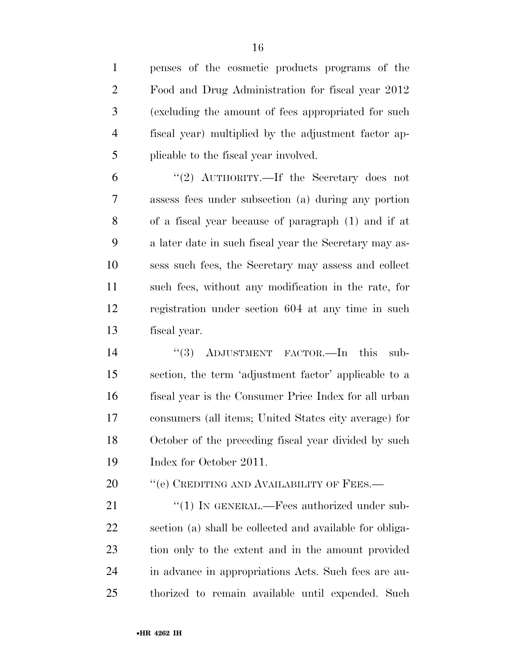penses of the cosmetic products programs of the Food and Drug Administration for fiscal year 2012 (excluding the amount of fees appropriated for such fiscal year) multiplied by the adjustment factor ap-plicable to the fiscal year involved.

 ''(2) AUTHORITY.—If the Secretary does not assess fees under subsection (a) during any portion of a fiscal year because of paragraph (1) and if at a later date in such fiscal year the Secretary may as- sess such fees, the Secretary may assess and collect such fees, without any modification in the rate, for registration under section 604 at any time in such fiscal year.

14 "(3) ADJUSTMENT FACTOR.—In this sub- section, the term 'adjustment factor' applicable to a fiscal year is the Consumer Price Index for all urban consumers (all items; United States city average) for October of the preceding fiscal year divided by such Index for October 2011.

20 "(e) CREDITING AND AVAILABILITY OF FEES.—

21 "(1) IN GENERAL.—Fees authorized under sub- section (a) shall be collected and available for obliga- tion only to the extent and in the amount provided in advance in appropriations Acts. Such fees are au-thorized to remain available until expended. Such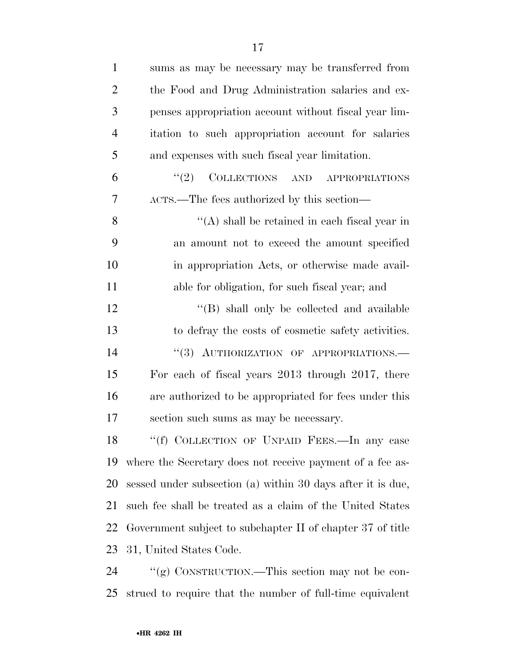| $\mathbf{1}$   | sums as may be necessary may be transferred from            |
|----------------|-------------------------------------------------------------|
| $\overline{2}$ | the Food and Drug Administration salaries and ex-           |
| 3              | penses appropriation account without fiscal year lim-       |
| $\overline{4}$ | itation to such appropriation account for salaries          |
| 5              | and expenses with such fiscal year limitation.              |
| 6              | "(2) COLLECTIONS AND APPROPRIATIONS                         |
| 7              | ACTS.—The fees authorized by this section—                  |
| 8              | $\lq\lq$ shall be retained in each fiscal year in           |
| 9              | an amount not to exceed the amount specified                |
| 10             | in appropriation Acts, or otherwise made avail-             |
| 11             | able for obligation, for such fiscal year; and              |
| 12             | "(B) shall only be collected and available                  |
| 13             | to defray the costs of cosmetic safety activities.          |
| 14             | "(3) AUTHORIZATION OF APPROPRIATIONS.-                      |
| 15             | For each of fiscal years 2013 through 2017, there           |
| 16             | are authorized to be appropriated for fees under this       |
| 17             | section such sums as may be necessary.                      |
| 18             | "(f) COLLECTION OF UNPAID FEES.—In any case                 |
| 19             | where the Secretary does not receive payment of a fee as-   |
| 20             | sessed under subsection (a) within 30 days after it is due, |
| 21             | such fee shall be treated as a claim of the United States   |
| 22             | Government subject to subchapter II of chapter 37 of title  |
| 23             | 31, United States Code.                                     |
| 24             | "(g) CONSTRUCTION.—This section may not be con-             |
| 25             | strued to require that the number of full-time equivalent   |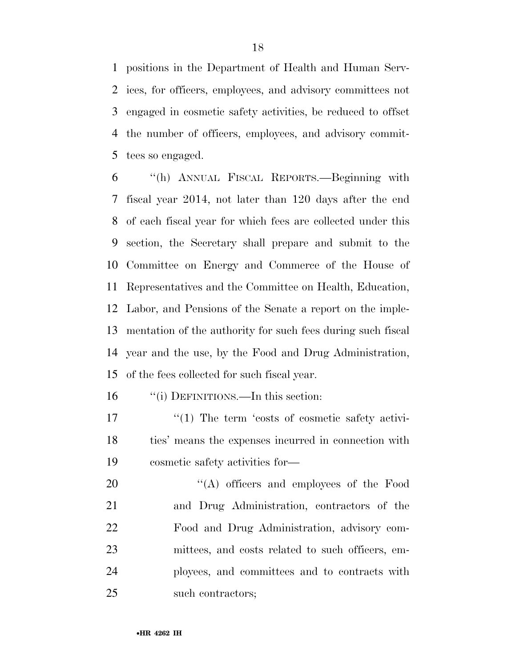positions in the Department of Health and Human Serv- ices, for officers, employees, and advisory committees not engaged in cosmetic safety activities, be reduced to offset the number of officers, employees, and advisory commit-tees so engaged.

 ''(h) ANNUAL FISCAL REPORTS.—Beginning with fiscal year 2014, not later than 120 days after the end of each fiscal year for which fees are collected under this section, the Secretary shall prepare and submit to the Committee on Energy and Commerce of the House of Representatives and the Committee on Health, Education, Labor, and Pensions of the Senate a report on the imple- mentation of the authority for such fees during such fiscal year and the use, by the Food and Drug Administration, of the fees collected for such fiscal year.

16 "(i) DEFINITIONS.—In this section:

17  $\frac{17}{2}$  The term 'costs of cosmetic safety activi- ties' means the expenses incurred in connection with cosmetic safety activities for—

 $\text{``(A)}$  officers and employees of the Food and Drug Administration, contractors of the Food and Drug Administration, advisory com- mittees, and costs related to such officers, em- ployees, and committees and to contracts with such contractors;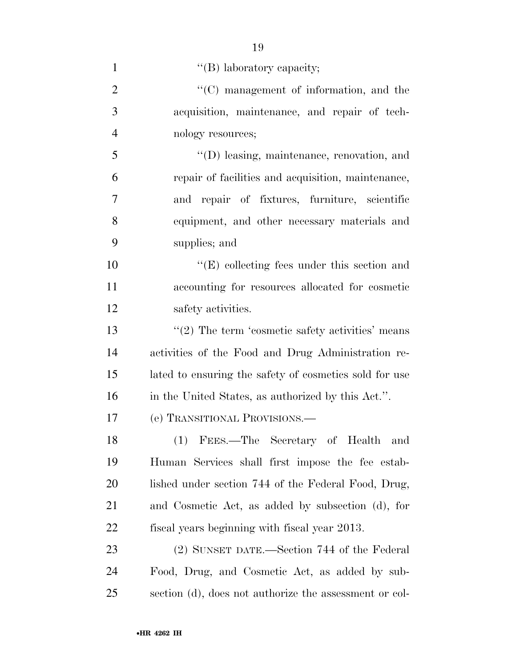| $\mathbf{1}$   | "(B) laboratory capacity;                              |
|----------------|--------------------------------------------------------|
| $\overline{2}$ | "(C) management of information, and the                |
| 3              | acquisition, maintenance, and repair of tech-          |
| $\overline{4}$ | nology resources;                                      |
| 5              | $\lq\lq$ (D) leasing, maintenance, renovation, and     |
| 6              | repair of facilities and acquisition, maintenance,     |
| 7              | and repair of fixtures, furniture, scientific          |
| 8              | equipment, and other necessary materials and           |
| 9              | supplies; and                                          |
| 10             | $\lq\lq$ (E) collecting fees under this section and    |
| 11             | accounting for resources allocated for cosmetic        |
| 12             | safety activities.                                     |
| 13             | $\lq(2)$ The term 'cosmetic safety activities' means   |
| 14             | activities of the Food and Drug Administration re-     |
| 15             | lated to ensuring the safety of cosmetics sold for use |
| 16             | in the United States, as authorized by this Act.".     |
| 17             | (e) TRANSITIONAL PROVISIONS.—                          |
| 18             | (1) FEES.—The Secretary of Health and                  |
| 19             | Human Services shall first impose the fee estab-       |
| <b>20</b>      | lished under section 744 of the Federal Food, Drug,    |
| 21             | and Cosmetic Act, as added by subsection (d), for      |
| <u>22</u>      | fiscal years beginning with fiscal year 2013.          |
| 23             | (2) SUNSET DATE.—Section 744 of the Federal            |
| 24             | Food, Drug, and Cosmetic Act, as added by sub-         |
| 25             | section (d), does not authorize the assessment or col- |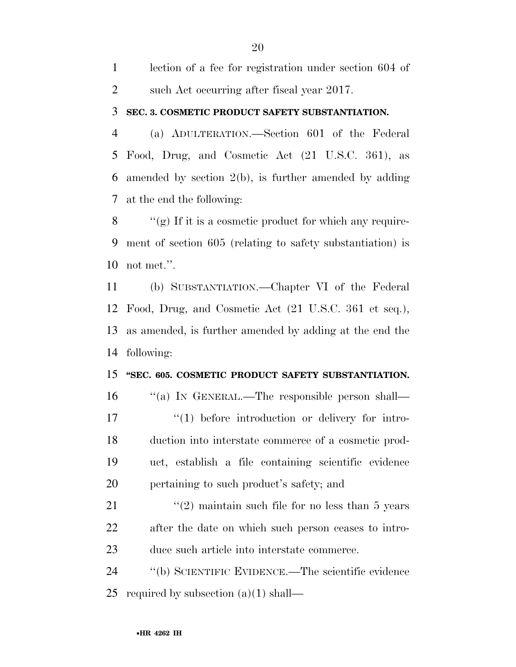| lection of a fee for registration under section 604 of |
|--------------------------------------------------------|
| such Act occurring after fiscal year 2017.             |

#### **SEC. 3. COSMETIC PRODUCT SAFETY SUBSTANTIATION.**

 (a) ADULTERATION.—Section 601 of the Federal Food, Drug, and Cosmetic Act (21 U.S.C. 361), as amended by section 2(b), is further amended by adding at the end the following:

8  $\langle \langle \rangle$  (g) If it is a cosmetic product for which any require- ment of section 605 (relating to safety substantiation) is not met.''.

 (b) SUBSTANTIATION.—Chapter VI of the Federal Food, Drug, and Cosmetic Act (21 U.S.C. 361 et seq.), as amended, is further amended by adding at the end the following:

#### **''SEC. 605. COSMETIC PRODUCT SAFETY SUBSTANTIATION.**

 ''(a) IN GENERAL.—The responsible person shall—  $\frac{17}{2}$   $\frac{17}{2}$  before introduction or delivery for intro- duction into interstate commerce of a cosmetic prod- uct, establish a file containing scientific evidence pertaining to such product's safety; and

21  $\frac{1}{2}$  maintain such file for no less than 5 years after the date on which such person ceases to intro-duce such article into interstate commerce.

 ''(b) SCIENTIFIC EVIDENCE.—The scientific evidence 25 required by subsection  $(a)(1)$  shall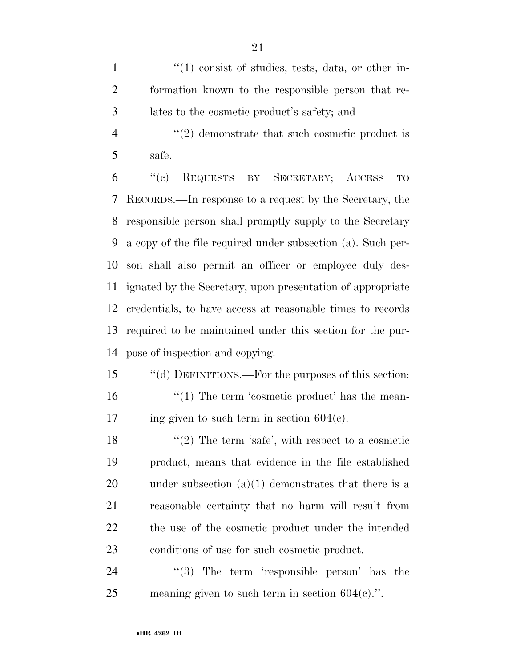$\frac{1}{1}$  ''(1) consist of studies, tests, data, or other in- formation known to the responsible person that re-lates to the cosmetic product's safety; and

4 "(2) demonstrate that such cosmetic product is safe.

 ''(c) REQUESTS BY SECRETARY; ACCESS TO RECORDS.—In response to a request by the Secretary, the responsible person shall promptly supply to the Secretary a copy of the file required under subsection (a). Such per- son shall also permit an officer or employee duly des- ignated by the Secretary, upon presentation of appropriate credentials, to have access at reasonable times to records required to be maintained under this section for the pur-pose of inspection and copying.

 ''(d) DEFINITIONS.—For the purposes of this section: 16  $\frac{16}{10}$  The term 'cosmetic product' has the mean-17 ing given to such term in section  $604(e)$ .

 $\langle \cdot (2)$  The term 'safe', with respect to a cosmetic product, means that evidence in the file established 20 under subsection  $(a)(1)$  demonstrates that there is a reasonable certainty that no harm will result from the use of the cosmetic product under the intended conditions of use for such cosmetic product.

24 "(3) The term 'responsible person' has the meaning given to such term in section 604(c).''.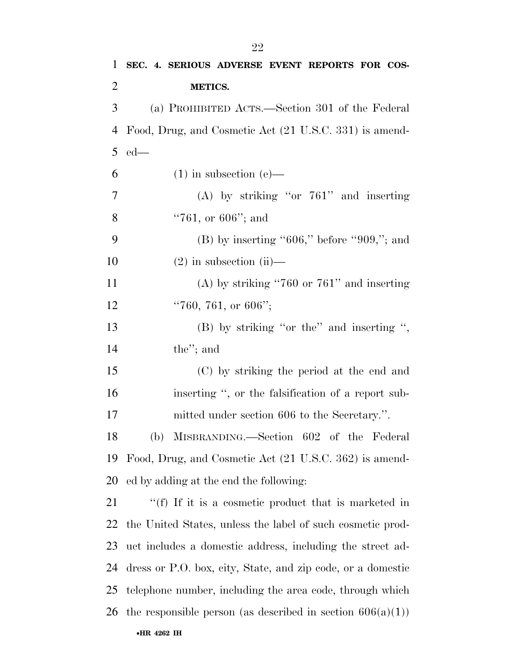| $\mathbf{1}$   | SEC. 4. SERIOUS ADVERSE EVENT REPORTS FOR COS-                |
|----------------|---------------------------------------------------------------|
| $\overline{2}$ | METICS.                                                       |
| 3              | (a) PROHIBITED ACTS.—Section 301 of the Federal               |
| 4              | Food, Drug, and Cosmetic Act (21 U.S.C. 331) is amend-        |
| 5              | $ed$ —                                                        |
| 6              | $(1)$ in subsection (e)—                                      |
| $\overline{7}$ | (A) by striking "or $761$ " and inserting                     |
| 8              | $"761$ , or 606"; and                                         |
| 9              | $(B)$ by inserting "606," before "909,"; and                  |
| 10             | $(2)$ in subsection $(ii)$ —                                  |
| 11             | (A) by striking "760 or $761$ " and inserting                 |
| 12             | "760, 761, or 606";                                           |
| 13             | $(B)$ by striking "or the" and inserting ",                   |
| 14             | the"; and                                                     |
| 15             | (C) by striking the period at the end and                     |
| 16             | inserting ", or the falsification of a report sub-            |
| 17             | mitted under section 606 to the Secretary.".                  |
| 18             | (b) MISBRANDING.—Section 602 of the Federal                   |
| 19             | Food, Drug, and Cosmetic Act (21 U.S.C. 362) is amend-        |
| 20             | ed by adding at the end the following:                        |
| 21             | "(f) If it is a cosmetic product that is marketed in          |
| 22             | the United States, unless the label of such cosmetic prod-    |
| 23             | uct includes a domestic address, including the street ad-     |
| 24             | dress or P.O. box, city, State, and zip code, or a domestic   |
| 25             | telephone number, including the area code, through which      |
| 26             | the responsible person (as described in section $606(a)(1)$ ) |
|                | •HR 4262 IH                                                   |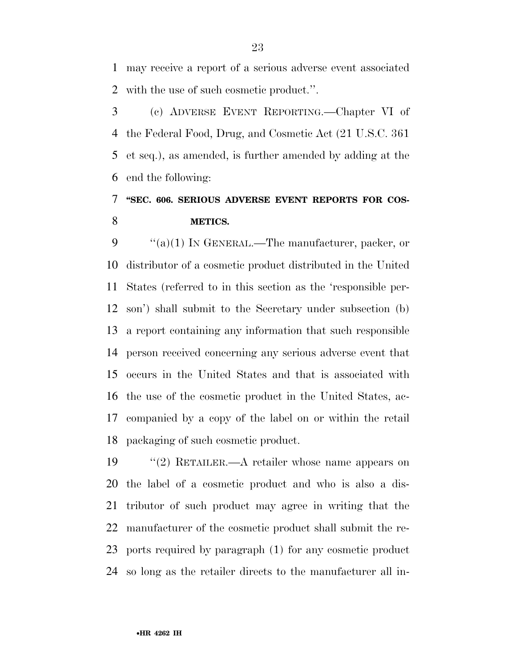may receive a report of a serious adverse event associated with the use of such cosmetic product.''.

 (c) ADVERSE EVENT REPORTING.—Chapter VI of the Federal Food, Drug, and Cosmetic Act (21 U.S.C. 361 et seq.), as amended, is further amended by adding at the end the following:

### **''SEC. 606. SERIOUS ADVERSE EVENT REPORTS FOR COS-METICS.**

 $\frac{u'(a)(1)}{1}$  In GENERAL.—The manufacturer, packer, or distributor of a cosmetic product distributed in the United States (referred to in this section as the 'responsible per- son') shall submit to the Secretary under subsection (b) a report containing any information that such responsible person received concerning any serious adverse event that occurs in the United States and that is associated with the use of the cosmetic product in the United States, ac- companied by a copy of the label on or within the retail packaging of such cosmetic product.

 ''(2) RETAILER.—A retailer whose name appears on the label of a cosmetic product and who is also a dis- tributor of such product may agree in writing that the manufacturer of the cosmetic product shall submit the re- ports required by paragraph (1) for any cosmetic product so long as the retailer directs to the manufacturer all in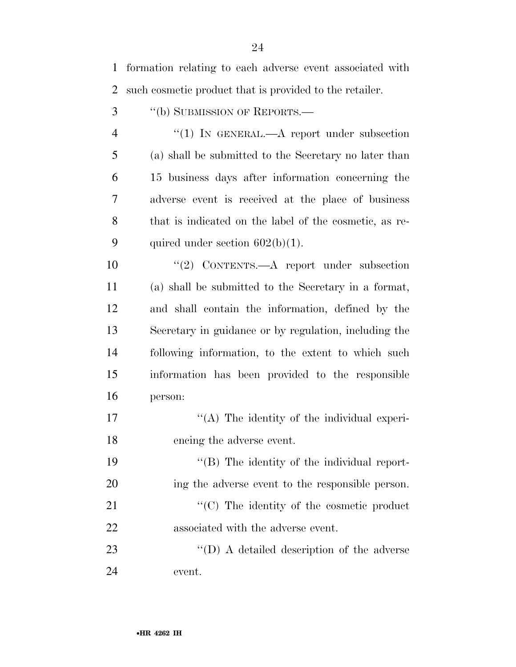formation relating to each adverse event associated with such cosmetic product that is provided to the retailer.

''(b) SUBMISSION OF REPORTS.—

4 "(1) IN GENERAL.—A report under subsection (a) shall be submitted to the Secretary no later than 15 business days after information concerning the adverse event is received at the place of business that is indicated on the label of the cosmetic, as re-9 quired under section  $602(b)(1)$ .

 ''(2) CONTENTS.—A report under subsection (a) shall be submitted to the Secretary in a format, and shall contain the information, defined by the Secretary in guidance or by regulation, including the following information, to the extent to which such information has been provided to the responsible person:

17  $\langle (A)$  The identity of the individual experi-encing the adverse event.

 $\langle (B)$  The identity of the individual report- ing the adverse event to the responsible person.  $\cdot$  (C) The identity of the cosmetic product associated with the adverse event.

23 ''(D) A detailed description of the adverse event.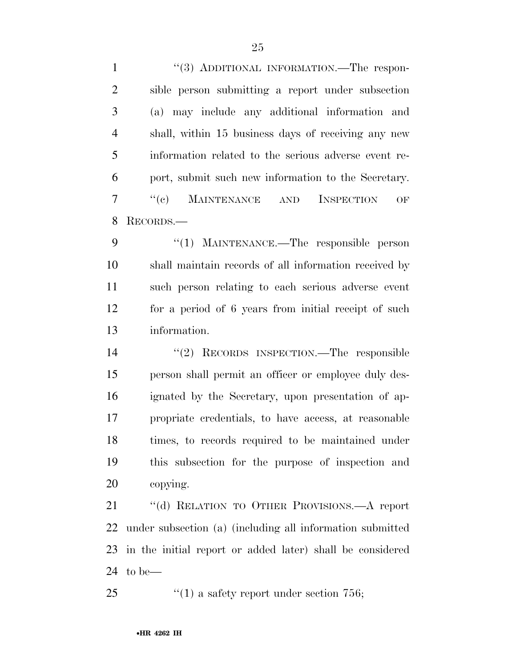1 ''(3) ADDITIONAL INFORMATION.—The respon- sible person submitting a report under subsection (a) may include any additional information and shall, within 15 business days of receiving any new information related to the serious adverse event re- port, submit such new information to the Secretary. ''(c) MAINTENANCE AND INSPECTION OF RECORDS.—

9 "(1) MAINTENANCE.—The responsible person shall maintain records of all information received by such person relating to each serious adverse event for a period of 6 years from initial receipt of such information.

 ''(2) RECORDS INSPECTION.—The responsible person shall permit an officer or employee duly des- ignated by the Secretary, upon presentation of ap- propriate credentials, to have access, at reasonable times, to records required to be maintained under this subsection for the purpose of inspection and copying.

 ''(d) RELATION TO OTHER PROVISIONS.—A report under subsection (a) (including all information submitted in the initial report or added later) shall be considered to be—

25  $\frac{1}{25}$  (1) a safety report under section 756;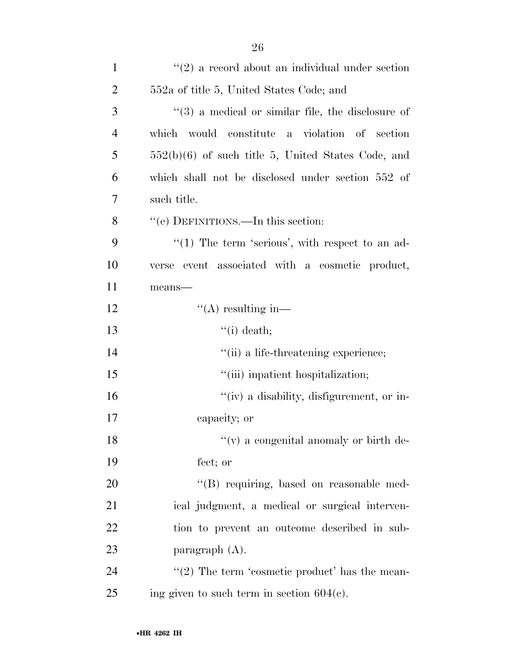| $\mathbf{1}$   | $f'(2)$ a record about an individual under section   |
|----------------|------------------------------------------------------|
| $\overline{2}$ | 552a of title 5, United States Code; and             |
| 3              | $(3)$ a medical or similar file, the disclosure of   |
| $\overline{4}$ | which would constitute a violation of section        |
| 5              | $552(b)(6)$ of such title 5, United States Code, and |
| 6              | which shall not be disclosed under section 552 of    |
| 7              | such title.                                          |
| 8              | "(e) DEFINITIONS.—In this section:                   |
| 9              | $((1)$ The term 'serious', with respect to an ad-    |
| 10             | event associated with a cosmetic product,<br>verse   |
| 11             | means-                                               |
| 12             | $\lq\lq$ resulting in—                               |
| 13             | $\lq\lq$ (i) death;                                  |
| 14             | "(ii) a life-threatening experience;                 |
| 15             | "(iii) inpatient hospitalization;                    |
| 16             | "(iv) a disability, disfigurement, or in-            |
| 17             | capacity; or                                         |
| 18             | $f'(v)$ a congenital anomaly or birth de-            |
| 19             | fect; or                                             |
| 20             | "(B) requiring, based on reasonable med-             |
| 21             | ical judgment, a medical or surgical interven-       |
| 22             | tion to prevent an outcome described in sub-         |
| 23             | paragraph $(A)$ .                                    |
| 24             | "(2) The term 'cosmetic product' has the mean-       |
| 25             | ing given to such term in section $604(c)$ .         |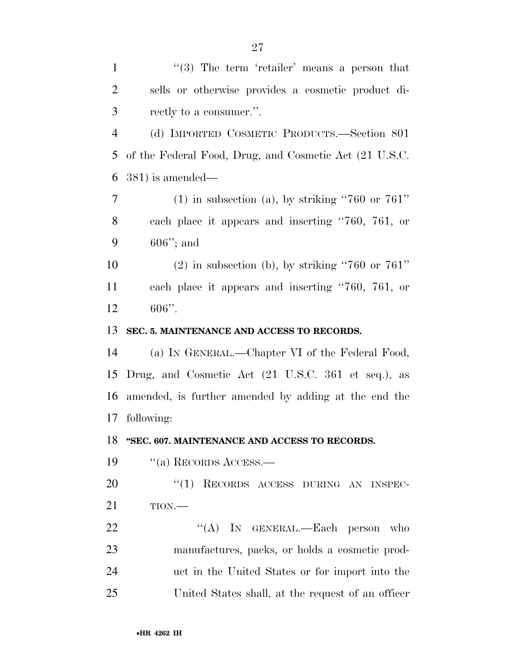| $\mathbf{1}$   | $\cdot\cdot\cdot(3)$ The term 'retailer' means a person that |
|----------------|--------------------------------------------------------------|
| $\overline{2}$ | sells or otherwise provides a cosmetic product di-           |
| 3              | rectly to a consumer.".                                      |
| $\overline{4}$ | (d) IMPORTED COSMETIC PRODUCTS.—Section 801                  |
| 5              | of the Federal Food, Drug, and Cosmetic Act (21 U.S.C.       |
| 6              | $(381)$ is amended—                                          |
| 7              | $(1)$ in subsection (a), by striking "760 or 761"            |
| 8              | each place it appears and inserting "760, 761, or            |
| 9              | $606$ "; and                                                 |
| 10             | $(2)$ in subsection (b), by striking "760 or 761"            |
| 11             | each place it appears and inserting "760, 761, or            |
| 12             | $606"$ .                                                     |
| 13             | SEC. 5. MAINTENANCE AND ACCESS TO RECORDS.                   |
| 14             | (a) IN GENERAL.—Chapter VI of the Federal Food,              |
| 15             | Drug, and Cosmetic Act (21 U.S.C. 361 et seq.), as           |
| 16             | amended, is further amended by adding at the end the         |
| 17             | following:                                                   |
| 18             | "SEC. 607. MAINTENANCE AND ACCESS TO RECORDS.                |
| 19             | $\cdot$ (a) RECORDS ACCESS.—                                 |
| 20             | "(1) RECORDS ACCESS DURING AN INSPEC-                        |
| 21             | TION.                                                        |
| 22             | "(A) IN GENERAL.—Each person who                             |
| 23             | manufactures, packs, or holds a cosmetic prod-               |
| 24             | uct in the United States or for import into the              |
| 25             | United States shall, at the request of an officer            |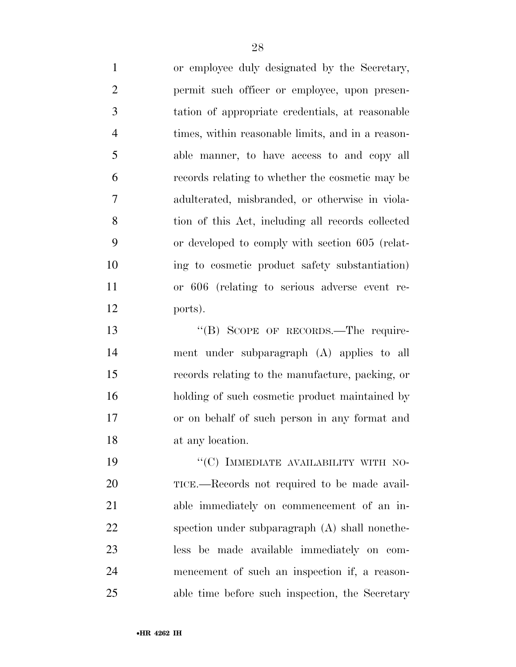or employee duly designated by the Secretary, permit such officer or employee, upon presen- tation of appropriate credentials, at reasonable times, within reasonable limits, and in a reason- able manner, to have access to and copy all records relating to whether the cosmetic may be adulterated, misbranded, or otherwise in viola- tion of this Act, including all records collected or developed to comply with section 605 (relat- ing to cosmetic product safety substantiation) or 606 (relating to serious adverse event re-ports).

13 "(B) SCOPE OF RECORDS.—The require- ment under subparagraph (A) applies to all records relating to the manufacture, packing, or holding of such cosmetic product maintained by or on behalf of such person in any format and at any location.

19 "'(C) IMMEDIATE AVAILABILITY WITH NO- TICE.—Records not required to be made avail- able immediately on commencement of an in- spection under subparagraph (A) shall nonethe- less be made available immediately on com- mencement of such an inspection if, a reason-able time before such inspection, the Secretary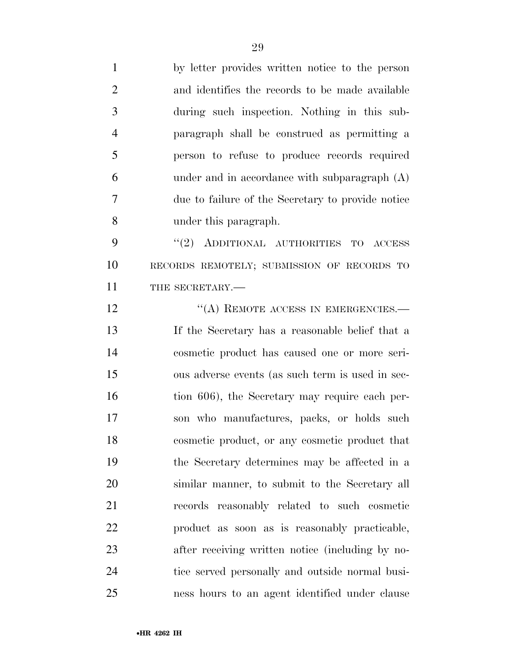by letter provides written notice to the person and identifies the records to be made available during such inspection. Nothing in this sub- paragraph shall be construed as permitting a person to refuse to produce records required under and in accordance with subparagraph (A) due to failure of the Secretary to provide notice under this paragraph. 9 "(2) ADDITIONAL AUTHORITIES TO ACCESS RECORDS REMOTELY; SUBMISSION OF RECORDS TO 11 THE SECRETARY.— 12 "(A) REMOTE ACCESS IN EMERGENCIES.— If the Secretary has a reasonable belief that a cosmetic product has caused one or more seri- ous adverse events (as such term is used in sec-16 tion 606), the Secretary may require each per- son who manufactures, packs, or holds such cosmetic product, or any cosmetic product that the Secretary determines may be affected in a similar manner, to submit to the Secretary all records reasonably related to such cosmetic product as soon as is reasonably practicable, after receiving written notice (including by no- tice served personally and outside normal busi-ness hours to an agent identified under clause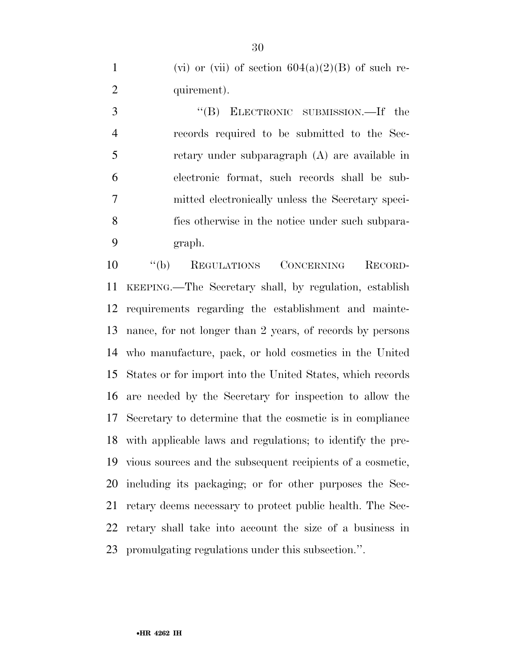1 (vi) or (vii) of section  $604(a)(2)(B)$  of such re-2 quirement).

3 "(B) ELECTRONIC SUBMISSION.—If the records required to be submitted to the Sec- retary under subparagraph (A) are available in electronic format, such records shall be sub- mitted electronically unless the Secretary speci- fies otherwise in the notice under such subpara-graph.

 ''(b) REGULATIONS CONCERNING RECORD- KEEPING.—The Secretary shall, by regulation, establish requirements regarding the establishment and mainte- nance, for not longer than 2 years, of records by persons who manufacture, pack, or hold cosmetics in the United States or for import into the United States, which records are needed by the Secretary for inspection to allow the Secretary to determine that the cosmetic is in compliance with applicable laws and regulations; to identify the pre- vious sources and the subsequent recipients of a cosmetic, including its packaging; or for other purposes the Sec- retary deems necessary to protect public health. The Sec- retary shall take into account the size of a business in promulgating regulations under this subsection.''.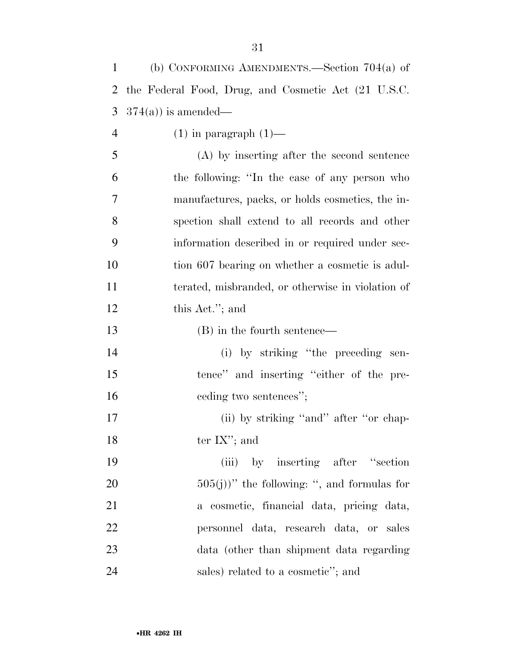| 1              | (b) CONFORMING AMENDMENTS.—Section $704(a)$ of      |
|----------------|-----------------------------------------------------|
| 2              | the Federal Food, Drug, and Cosmetic Act (21 U.S.C. |
| 3              | $374(a)$ is amended—                                |
| $\overline{4}$ | $(1)$ in paragraph $(1)$ —                          |
| 5              | (A) by inserting after the second sentence          |
| 6              | the following: "In the case of any person who       |
| 7              | manufactures, packs, or holds cosmetics, the in-    |
| 8              | spection shall extend to all records and other      |
| 9              | information described in or required under sec-     |
| 10             | tion 607 bearing on whether a cosmetic is adul-     |
| 11             | terated, misbranded, or otherwise in violation of   |
| 12             | this Act."; and                                     |
| 13             | (B) in the fourth sentence—                         |
| 14             | (i) by striking "the preceding sen-                 |
| 15             | tence" and inserting "either of the pre-            |
| 16             | eeding two sentences";                              |
| 17             | (ii) by striking "and" after "or chap-              |
| 18             | ter $IX$ "; and                                     |
| 19             | (iii) by inserting after "section"                  |
| 20             | $(505(j))$ " the following: ", and formulas for     |
| 21             | a cosmetic, financial data, pricing data,           |
| 22             | personnel data, research data, or sales             |
| 23             | data (other than shipment data regarding            |
| 24             | sales) related to a cosmetic"; and                  |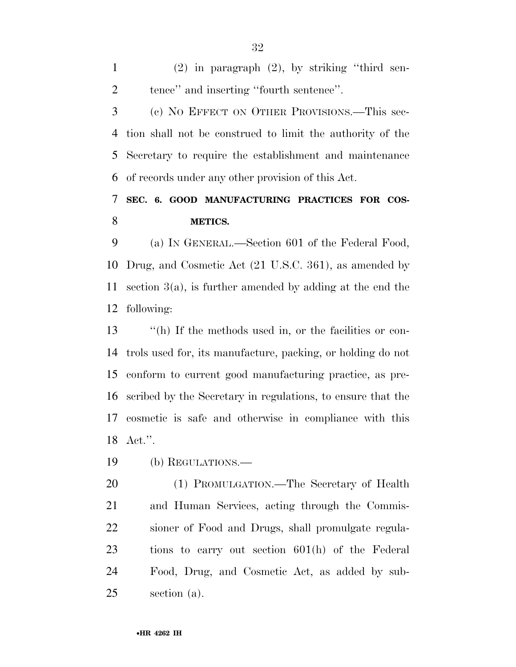(2) in paragraph (2), by striking ''third sen-tence'' and inserting ''fourth sentence''.

 (c) NO EFFECT ON OTHER PROVISIONS.—This sec- tion shall not be construed to limit the authority of the Secretary to require the establishment and maintenance of records under any other provision of this Act.

## **SEC. 6. GOOD MANUFACTURING PRACTICES FOR COS-METICS.**

 (a) IN GENERAL.—Section 601 of the Federal Food, Drug, and Cosmetic Act (21 U.S.C. 361), as amended by section 3(a), is further amended by adding at the end the following:

 ''(h) If the methods used in, or the facilities or con- trols used for, its manufacture, packing, or holding do not conform to current good manufacturing practice, as pre- scribed by the Secretary in regulations, to ensure that the cosmetic is safe and otherwise in compliance with this Act.''.

(b) REGULATIONS.—

 (1) PROMULGATION.—The Secretary of Health and Human Services, acting through the Commis- sioner of Food and Drugs, shall promulgate regula- tions to carry out section 601(h) of the Federal Food, Drug, and Cosmetic Act, as added by sub-section (a).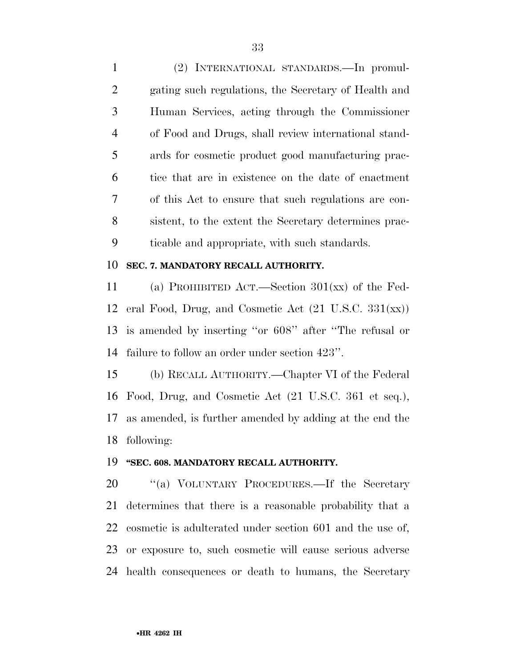(2) INTERNATIONAL STANDARDS.—In promul- gating such regulations, the Secretary of Health and Human Services, acting through the Commissioner of Food and Drugs, shall review international stand- ards for cosmetic product good manufacturing prac- tice that are in existence on the date of enactment of this Act to ensure that such regulations are con- sistent, to the extent the Secretary determines prac-ticable and appropriate, with such standards.

#### **SEC. 7. MANDATORY RECALL AUTHORITY.**

 (a) PROHIBITED ACT.—Section 301(xx) of the Fed- eral Food, Drug, and Cosmetic Act (21 U.S.C. 331(xx)) is amended by inserting ''or 608'' after ''The refusal or failure to follow an order under section 423''.

 (b) RECALL AUTHORITY.—Chapter VI of the Federal Food, Drug, and Cosmetic Act (21 U.S.C. 361 et seq.), as amended, is further amended by adding at the end the following:

#### **''SEC. 608. MANDATORY RECALL AUTHORITY.**

20 "(a) VOLUNTARY PROCEDURES.—If the Secretary determines that there is a reasonable probability that a cosmetic is adulterated under section 601 and the use of, or exposure to, such cosmetic will cause serious adverse health consequences or death to humans, the Secretary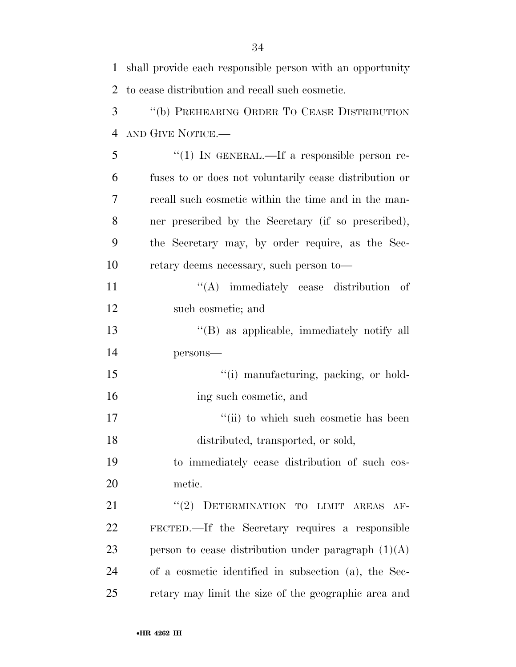| $\mathbf{1}$   | shall provide each responsible person with an opportunity |
|----------------|-----------------------------------------------------------|
| $\overline{2}$ | to cease distribution and recall such cosmetic.           |
| 3              | "(b) PREHEARING ORDER TO CEASE DISTRIBUTION               |
| $\overline{4}$ | AND GIVE NOTICE.                                          |
| 5              | "(1) IN GENERAL.—If a responsible person re-              |
| 6              | fuses to or does not voluntarily cease distribution or    |
| 7              | recall such cosmetic within the time and in the man-      |
| 8              | ner prescribed by the Secretary (if so prescribed),       |
| 9              | the Secretary may, by order require, as the Sec-          |
| 10             | retary deems necessary, such person to-                   |
| 11             | $\lq\lq$ immediately cease distribution<br>- of           |
| 12             | such cosmetic; and                                        |
| 13             | "(B) as applicable, immediately notify all                |
| 14             | persons-                                                  |
| 15             | "(i) manufacturing, packing, or hold-                     |
| 16             | ing such cosmetic, and                                    |
| 17             | "(ii) to which such cosmetic has been                     |
| 18             | distributed, transported, or sold,                        |
| 19             | to immediately cease distribution of such cos-            |
| 20             | metic.                                                    |
| 21             | DETERMINATION TO LIMIT AREAS<br>(2)<br>$AF-$              |
| 22             | FECTED.—If the Secretary requires a responsible           |
| 23             | person to cease distribution under paragraph $(1)(A)$     |
| 24             | of a cosmetic identified in subsection (a), the Sec-      |
| 25             | retary may limit the size of the geographic area and      |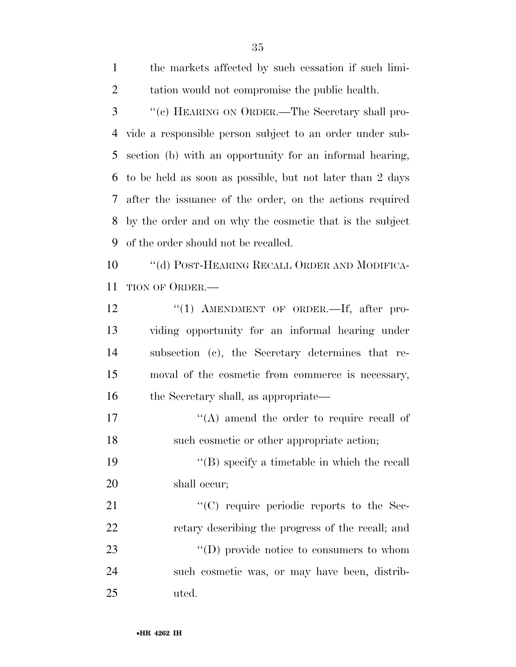| 3  | "(c) HEARING ON ORDER.—The Secretary shall pro-           |
|----|-----------------------------------------------------------|
| 4  | vide a responsible person subject to an order under sub-  |
| 5  | section (b) with an opportunity for an informal hearing,  |
| 6  | to be held as soon as possible, but not later than 2 days |
| 7  | after the issuance of the order, on the actions required  |
| 8  | by the order and on why the cosmetic that is the subject  |
| 9  | of the order should not be recalled.                      |
| 10 | "(d) POST-HEARING RECALL ORDER AND MODIFICA-              |
| 11 | TION OF ORDER.—                                           |
| 12 | " $(1)$ AMENDMENT OF ORDER.—If, after pro-                |
| 13 | viding opportunity for an informal hearing under          |
| 14 | subsection (c), the Secretary determines that re-         |
| 15 | moval of the cosmetic from commerce is necessary,         |
| 16 | the Secretary shall, as appropriate—                      |
| 17 | $\lq\lq$ amend the order to require recall of             |
| 18 | such cosmetic or other appropriate action;                |
| 19 | $\lq\lq$ specify a timetable in which the recall          |
| 20 | shall occur;                                              |
| 21 | "(C) require periodic reports to the Sec-                 |
| 22 | retary describing the progress of the recall; and         |
| 23 | $\lq\lq$ (D) provide notice to consumers to whom          |
| 24 | such cosmetic was, or may have been, distrib-             |
| 25 | uted.                                                     |

the markets affected by such cessation if such limi-

tation would not compromise the public health.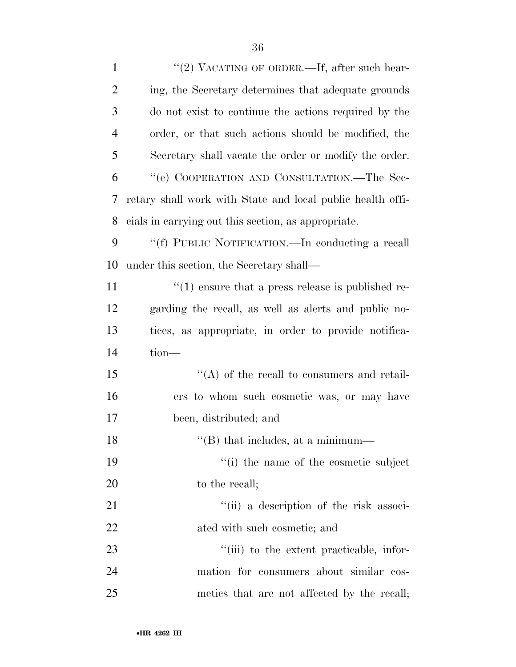| $\mathbf{1}$   | "(2) VACATING OF ORDER.—If, after such hear-               |
|----------------|------------------------------------------------------------|
| $\overline{2}$ | ing, the Secretary determines that adequate grounds        |
| 3              | do not exist to continue the actions required by the       |
| $\overline{4}$ | order, or that such actions should be modified, the        |
| 5              | Secretary shall vacate the order or modify the order.      |
| 6              | "(e) COOPERATION AND CONSULTATION.—The Sec-                |
| 7              | retary shall work with State and local public health offi- |
| 8              | cials in carrying out this section, as appropriate.        |
| 9              | "(f) PUBLIC NOTIFICATION.—In conducting a recall           |
| 10             | under this section, the Secretary shall—                   |
| 11             | $\cdot$ (1) ensure that a press release is published re-   |
| 12             | garding the recall, as well as a lerts and public no-      |
| 13             | tices, as appropriate, in order to provide notifica-       |
| 14             | tion-                                                      |
| 15             | $\lq\lq$ of the recall to consumers and retail-            |
| 16             | ers to whom such cosmetic was, or may have                 |
| 17             | been, distributed; and                                     |
| 18             | $\lq$ <sup>"</sup> (B) that includes, at a minimum—        |
| 19             | "(i) the name of the cosmetic subject                      |
| <b>20</b>      | to the recall;                                             |
| 21             | "(ii) a description of the risk associ-                    |
| 22             | ated with such cosmetic; and                               |
| 23             | "(iii) to the extent practicable, infor-                   |
| 24             | mation for consumers about similar cos-                    |
| 25             | metics that are not affected by the recall;                |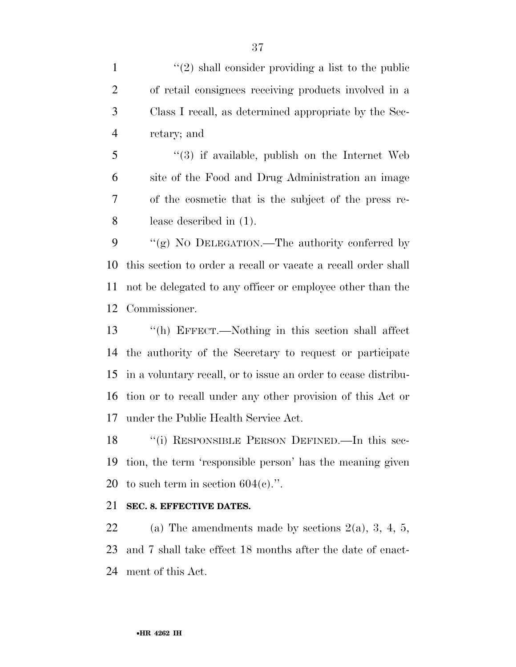$\frac{1}{2}$  shall consider providing a list to the public of retail consignees receiving products involved in a Class I recall, as determined appropriate by the Sec-retary; and

 ''(3) if available, publish on the Internet Web site of the Food and Drug Administration an image of the cosmetic that is the subject of the press re-lease described in (1).

9 "(g) NO DELEGATION.—The authority conferred by this section to order a recall or vacate a recall order shall not be delegated to any officer or employee other than the Commissioner.

 ''(h) EFFECT.—Nothing in this section shall affect the authority of the Secretary to request or participate in a voluntary recall, or to issue an order to cease distribu- tion or to recall under any other provision of this Act or under the Public Health Service Act.

 ''(i) RESPONSIBLE PERSON DEFINED.—In this sec- tion, the term 'responsible person' has the meaning given 20 to such term in section  $604(c)$ .".

#### **SEC. 8. EFFECTIVE DATES.**

22 (a) The amendments made by sections  $2(a)$ , 3, 4, 5, and 7 shall take effect 18 months after the date of enact-ment of this Act.